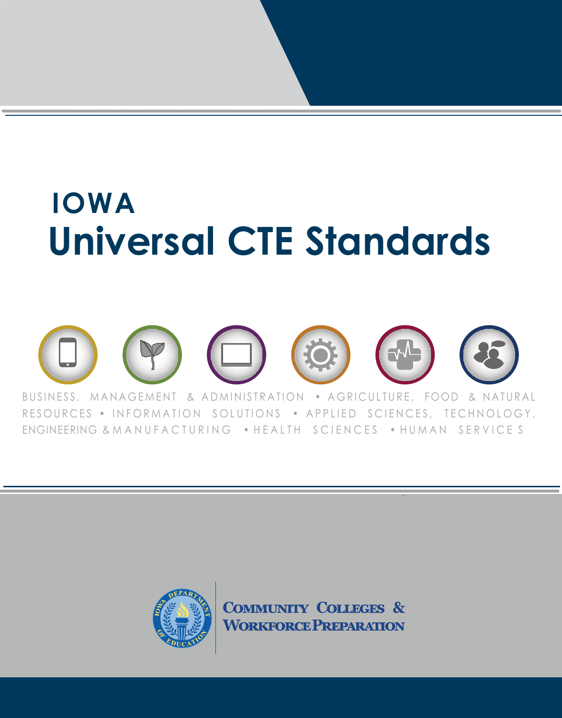# **IOWA Universal CTE Standards**



RESOURCES . INFORMATION SOLUTIONS . APPLIED SCIENCES, TECHNOLOGY, ENGINEERING & MANUFACTURING . HEALTH SCIENCES . HUMAN SERVICES



**COMMUNITY COLLEGES & WORKFORCE PREPARATION**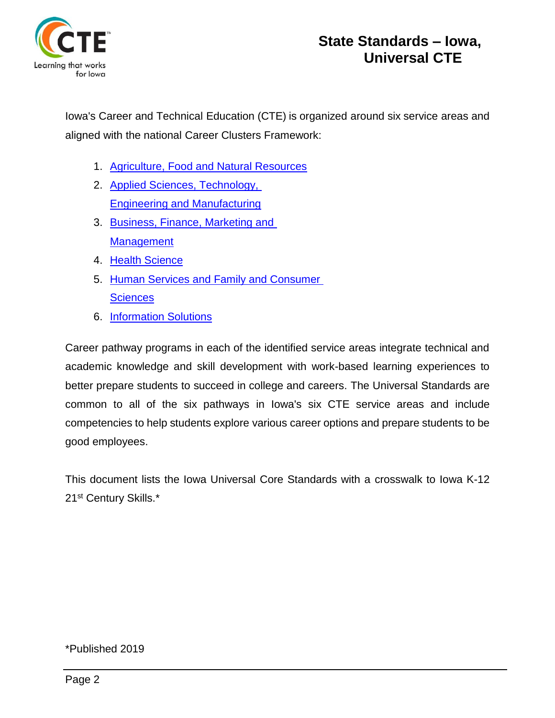

Iowa's Career and Technical Education (CTE) is organized around six service areas and aligned with the national Career Clusters Framework:

- 1. [Agriculture, Food and Natural Resources](https://educateiowa.gov/documents/service-area-agriculture/2020/02/agricultural-education-standards-benchmarks)
- 2. [Applied Sciences, Technology,](https://educateiowa.gov/documents/service-areas-industrial-technology/2020/12/applied-science-technology-engineering-and)  [Engineering and Manufacturing](https://educateiowa.gov/documents/service-areas-industrial-technology/2020/12/applied-science-technology-engineering-and)
- 3. [Business, Finance, Marketing and](https://educateiowa.gov/documents/service-areas-business-and-marketing/2019/09/state-iowa-business-finance-marketing-and)  **[Management](https://educateiowa.gov/documents/service-areas-business-and-marketing/2019/09/state-iowa-business-finance-marketing-and)**
- 4. Health [Science](https://educateiowa.gov/documents/service-areas-health-science-education/2019/11/health-sciences-cte-standards)
- 5. Human Services and Family and Consumer **[Sciences](https://educateiowa.gov/documents/service-areas-family-and-consumer-sciences-education/2020/07/human-services-family-and)**
- 6. [Information Solutions](https://educateiowa.gov/documents/service-areas-business-marketing/2013/05/it-critical-standards-and-benchmarks)

Career pathway programs in each of the identified service areas integrate technical and academic knowledge and skill development with work-based learning experiences to better prepare students to succeed in college and careers. The Universal Standards are common to all of the six pathways in Iowa's six CTE service areas and include competencies to help students explore various career options and prepare students to be good employees.

This document lists the Iowa Universal Core Standards with a crosswalk to Iowa K-12 21st Century Skills.\*

\*Published 2019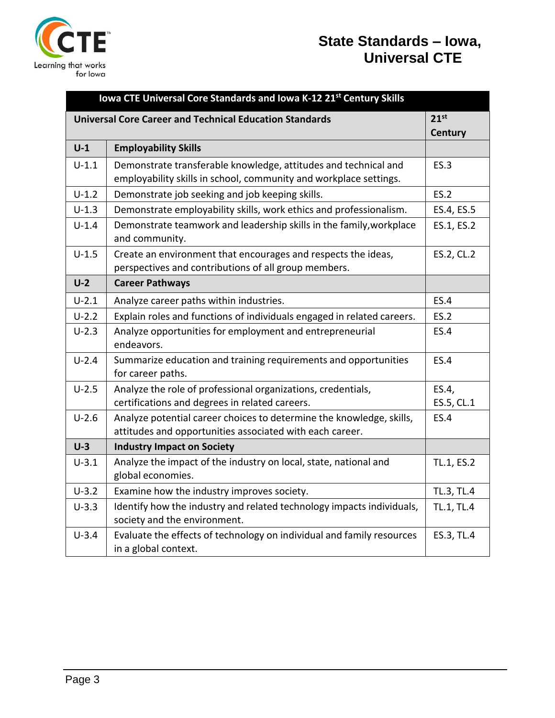

| Iowa CTE Universal Core Standards and Iowa K-12 21 <sup>st</sup> Century Skills |                                                                                                                                  |                  |  |  |
|---------------------------------------------------------------------------------|----------------------------------------------------------------------------------------------------------------------------------|------------------|--|--|
| <b>Universal Core Career and Technical Education Standards</b>                  |                                                                                                                                  | 21 <sup>st</sup> |  |  |
|                                                                                 |                                                                                                                                  | Century          |  |  |
| $U-1$                                                                           | <b>Employability Skills</b>                                                                                                      |                  |  |  |
| $U-1.1$                                                                         | Demonstrate transferable knowledge, attitudes and technical and                                                                  | <b>ES.3</b>      |  |  |
|                                                                                 | employability skills in school, community and workplace settings.                                                                |                  |  |  |
| $U-1.2$                                                                         | Demonstrate job seeking and job keeping skills.                                                                                  | <b>ES.2</b>      |  |  |
| $U - 1.3$                                                                       | Demonstrate employability skills, work ethics and professionalism.                                                               | ES.4, ES.5       |  |  |
| $U - 1.4$                                                                       | Demonstrate teamwork and leadership skills in the family, workplace<br>and community.                                            | ES.1, ES.2       |  |  |
| $U - 1.5$                                                                       | Create an environment that encourages and respects the ideas,<br>perspectives and contributions of all group members.            | ES.2, CL.2       |  |  |
| $U-2$                                                                           | <b>Career Pathways</b>                                                                                                           |                  |  |  |
| $U-2.1$                                                                         | Analyze career paths within industries.                                                                                          | <b>ES.4</b>      |  |  |
| $U-2.2$                                                                         | Explain roles and functions of individuals engaged in related careers.                                                           | <b>ES.2</b>      |  |  |
| $U-2.3$                                                                         | Analyze opportunities for employment and entrepreneurial<br>endeavors.                                                           | ES.4             |  |  |
| $U - 2.4$                                                                       | Summarize education and training requirements and opportunities<br>for career paths.                                             | ES.4             |  |  |
| $U-2.5$                                                                         | Analyze the role of professional organizations, credentials,                                                                     | ES.4,            |  |  |
|                                                                                 | certifications and degrees in related careers.                                                                                   | ES.5, CL.1       |  |  |
| $U - 2.6$                                                                       | Analyze potential career choices to determine the knowledge, skills,<br>attitudes and opportunities associated with each career. | ES.4             |  |  |
| $U-3$                                                                           | <b>Industry Impact on Society</b>                                                                                                |                  |  |  |
| $U-3.1$                                                                         | Analyze the impact of the industry on local, state, national and<br>global economies.                                            | TL.1, ES.2       |  |  |
| $U-3.2$                                                                         | Examine how the industry improves society.                                                                                       | TL.3, TL.4       |  |  |
| $U-3.3$                                                                         | Identify how the industry and related technology impacts individuals,<br>society and the environment.                            | TL.1, TL.4       |  |  |
| $U-3.4$                                                                         | Evaluate the effects of technology on individual and family resources<br>in a global context.                                    | ES.3, TL.4       |  |  |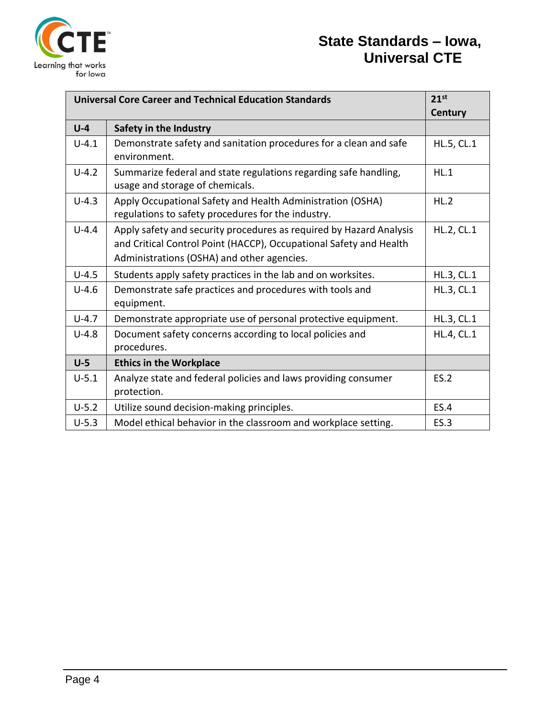

| <b>Universal Core Career and Technical Education Standards</b> |                                                                                                                  |                   |
|----------------------------------------------------------------|------------------------------------------------------------------------------------------------------------------|-------------------|
|                                                                |                                                                                                                  | Century           |
| $U-4$                                                          | Safety in the Industry                                                                                           |                   |
| $U - 4.1$                                                      | Demonstrate safety and sanitation procedures for a clean and safe                                                | HL.5, CL.1        |
|                                                                | environment.                                                                                                     |                   |
| $U - 4.2$                                                      | Summarize federal and state regulations regarding safe handling,<br>usage and storage of chemicals.              | HL.1              |
| $U - 4.3$                                                      | Apply Occupational Safety and Health Administration (OSHA)<br>regulations to safety procedures for the industry. | HL.2              |
| $U-4.4$                                                        | Apply safety and security procedures as required by Hazard Analysis                                              | HL.2, CL.1        |
|                                                                | and Critical Control Point (HACCP), Occupational Safety and Health                                               |                   |
|                                                                | Administrations (OSHA) and other agencies.                                                                       |                   |
| $U-4.5$                                                        | Students apply safety practices in the lab and on worksites.                                                     | HL.3, CL.1        |
| $U-4.6$                                                        | Demonstrate safe practices and procedures with tools and<br>equipment.                                           | HL.3, CL.1        |
| $U-4.7$                                                        | Demonstrate appropriate use of personal protective equipment.                                                    | HL.3, CL.1        |
| $U-4.8$                                                        | Document safety concerns according to local policies and                                                         | <b>HL.4, CL.1</b> |
|                                                                | procedures.                                                                                                      |                   |
| $U-5$                                                          | <b>Ethics in the Workplace</b>                                                                                   |                   |
| $U-5.1$                                                        | Analyze state and federal policies and laws providing consumer                                                   | ES.2              |
|                                                                | protection.                                                                                                      |                   |
| $U-5.2$                                                        | Utilize sound decision-making principles.                                                                        | <b>ES.4</b>       |
| $U-5.3$                                                        | Model ethical behavior in the classroom and workplace setting.                                                   | ES.3              |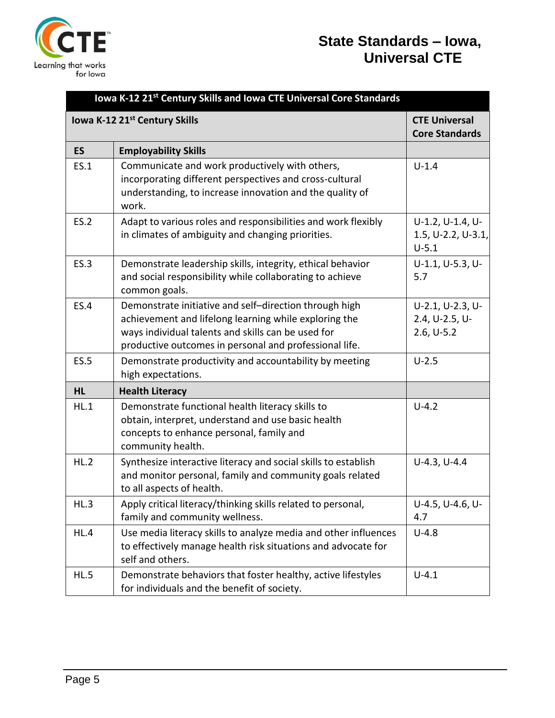

| Iowa K-12 21 <sup>st</sup> Century Skills and Iowa CTE Universal Core Standards |                                                                                                                                                                                                                                 |                                                    |  |  |
|---------------------------------------------------------------------------------|---------------------------------------------------------------------------------------------------------------------------------------------------------------------------------------------------------------------------------|----------------------------------------------------|--|--|
| Iowa K-12 21st Century Skills                                                   |                                                                                                                                                                                                                                 | <b>CTE Universal</b><br><b>Core Standards</b>      |  |  |
| <b>ES</b>                                                                       | <b>Employability Skills</b>                                                                                                                                                                                                     |                                                    |  |  |
| <b>ES.1</b>                                                                     | Communicate and work productively with others,<br>incorporating different perspectives and cross-cultural<br>understanding, to increase innovation and the quality of<br>work.                                                  | $U - 1.4$                                          |  |  |
| <b>ES.2</b>                                                                     | Adapt to various roles and responsibilities and work flexibly<br>in climates of ambiguity and changing priorities.                                                                                                              | U-1.2, U-1.4, U-<br>1.5, U-2.2, U-3.1,<br>$U-5.1$  |  |  |
| <b>ES.3</b>                                                                     | Demonstrate leadership skills, integrity, ethical behavior<br>and social responsibility while collaborating to achieve<br>common goals.                                                                                         | U-1.1, U-5.3, U-<br>5.7                            |  |  |
| <b>ES.4</b>                                                                     | Demonstrate initiative and self-direction through high<br>achievement and lifelong learning while exploring the<br>ways individual talents and skills can be used for<br>productive outcomes in personal and professional life. | U-2.1, U-2.3, U-<br>2.4, U-2.5, U-<br>$2.6, U-5.2$ |  |  |
| <b>ES.5</b>                                                                     | Demonstrate productivity and accountability by meeting<br>high expectations.                                                                                                                                                    | $U-2.5$                                            |  |  |
| <b>HL</b>                                                                       | <b>Health Literacy</b>                                                                                                                                                                                                          |                                                    |  |  |
| HL.1                                                                            | Demonstrate functional health literacy skills to<br>obtain, interpret, understand and use basic health<br>concepts to enhance personal, family and<br>community health.                                                         | $U-4.2$                                            |  |  |
| HL.2                                                                            | Synthesize interactive literacy and social skills to establish<br>and monitor personal, family and community goals related<br>to all aspects of health.                                                                         | $U-4.3, U-4.4$                                     |  |  |
| HL.3                                                                            | Apply critical literacy/thinking skills related to personal,<br>family and community wellness.                                                                                                                                  | U-4.5, U-4.6, U-<br>4.7                            |  |  |
| HL.4                                                                            | Use media literacy skills to analyze media and other influences<br>to effectively manage health risk situations and advocate for<br>self and others.                                                                            | $U-4.8$                                            |  |  |
| HL.5                                                                            | Demonstrate behaviors that foster healthy, active lifestyles<br>for individuals and the benefit of society.                                                                                                                     | $U - 4.1$                                          |  |  |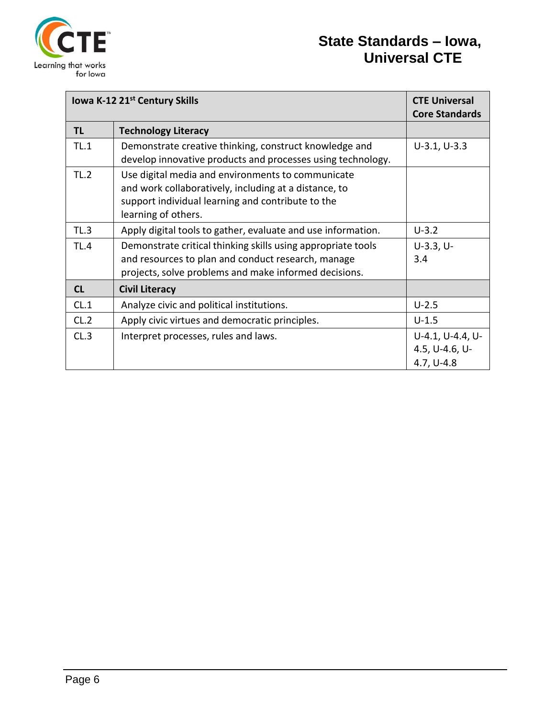

| Iowa K-12 21st Century Skills | <b>CTE Universal</b><br><b>Core Standards</b>                                                                                                                                          |                                                    |
|-------------------------------|----------------------------------------------------------------------------------------------------------------------------------------------------------------------------------------|----------------------------------------------------|
| TL                            | <b>Technology Literacy</b>                                                                                                                                                             |                                                    |
| TL.1                          | Demonstrate creative thinking, construct knowledge and<br>develop innovative products and processes using technology.                                                                  | $U-3.1, U-3.3$                                     |
| TL.2                          | Use digital media and environments to communicate<br>and work collaboratively, including at a distance, to<br>support individual learning and contribute to the<br>learning of others. |                                                    |
| TL.3                          | Apply digital tools to gather, evaluate and use information.                                                                                                                           | $U-3.2$                                            |
| TL.4                          | Demonstrate critical thinking skills using appropriate tools<br>and resources to plan and conduct research, manage<br>projects, solve problems and make informed decisions.            | $U-3.3, U-$<br>3.4                                 |
| CL                            | <b>Civil Literacy</b>                                                                                                                                                                  |                                                    |
| CL.1                          | Analyze civic and political institutions.                                                                                                                                              | $U - 2.5$                                          |
| CL.2                          | Apply civic virtues and democratic principles.                                                                                                                                         | $U - 1.5$                                          |
| CL.3                          | Interpret processes, rules and laws.                                                                                                                                                   | U-4.1, U-4.4, U-<br>4.5, U-4.6, U-<br>$4.7, U-4.8$ |